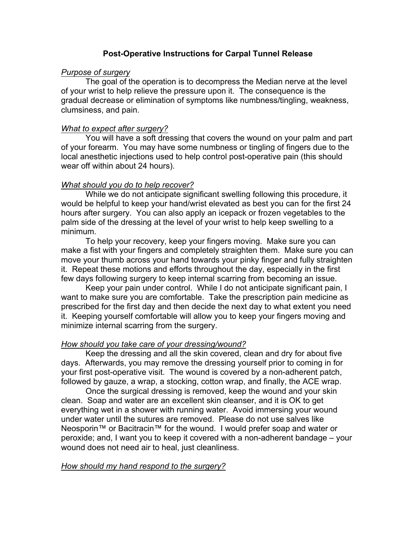## **Post-Operative Instructions for Carpal Tunnel Release**

### *Purpose of surgery*

The goal of the operation is to decompress the Median nerve at the level of your wrist to help relieve the pressure upon it. The consequence is the gradual decrease or elimination of symptoms like numbness/tingling, weakness, clumsiness, and pain.

## *What to expect after surgery?*

You will have a soft dressing that covers the wound on your palm and part of your forearm. You may have some numbness or tingling of fingers due to the local anesthetic injections used to help control post-operative pain (this should wear off within about 24 hours).

# *What should you do to help recover?*

While we do not anticipate significant swelling following this procedure, it would be helpful to keep your hand/wrist elevated as best you can for the first 24 hours after surgery. You can also apply an icepack or frozen vegetables to the palm side of the dressing at the level of your wrist to help keep swelling to a minimum.

To help your recovery, keep your fingers moving. Make sure you can make a fist with your fingers and completely straighten them. Make sure you can move your thumb across your hand towards your pinky finger and fully straighten it. Repeat these motions and efforts throughout the day, especially in the first few days following surgery to keep internal scarring from becoming an issue.

Keep your pain under control. While I do not anticipate significant pain, I want to make sure you are comfortable. Take the prescription pain medicine as prescribed for the first day and then decide the next day to what extent you need it. Keeping yourself comfortable will allow you to keep your fingers moving and minimize internal scarring from the surgery.

### *How should you take care of your dressing/wound?*

Keep the dressing and all the skin covered, clean and dry for about five days. Afterwards, you may remove the dressing yourself prior to coming in for your first post-operative visit. The wound is covered by a non-adherent patch, followed by gauze, a wrap, a stocking, cotton wrap, and finally, the ACE wrap.

Once the surgical dressing is removed, keep the wound and your skin clean. Soap and water are an excellent skin cleanser, and it is OK to get everything wet in a shower with running water. Avoid immersing your wound under water until the sutures are removed. Please do not use salves like Neosporin™ or Bacitracin™ for the wound. I would prefer soap and water or peroxide; and, I want you to keep it covered with a non-adherent bandage – your wound does not need air to heal, just cleanliness.

### *How should my hand respond to the surgery?*